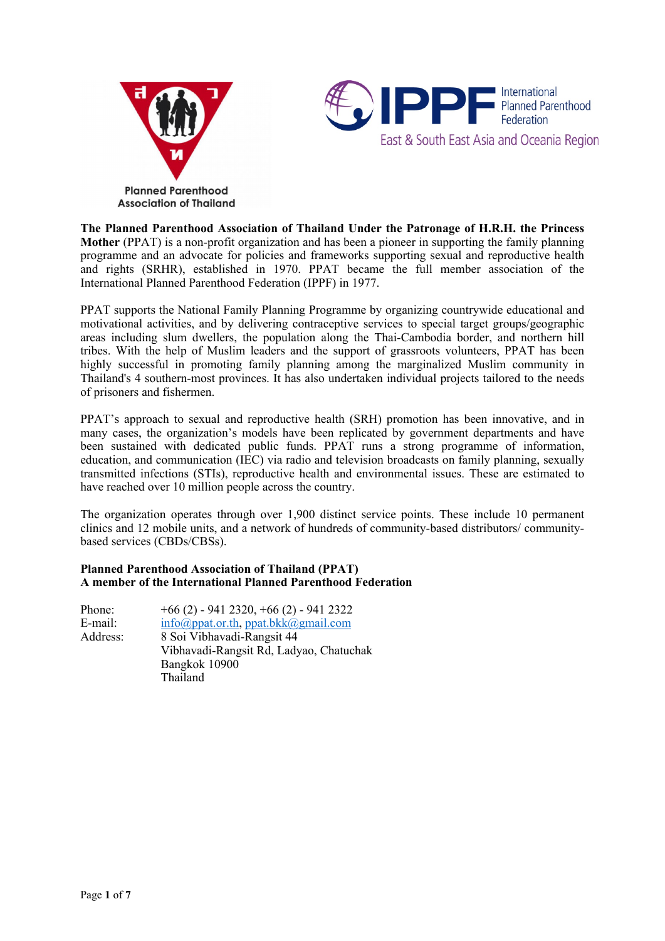



**The Planned Parenthood Association of Thailand Under the Patronage of H.R.H. the Princess Mother** (PPAT) is <sup>a</sup> non-profit organization and has been <sup>a</sup> pioneer in supporting the family planning programme and an advocate for policies and frameworks supporting sexual and reproductive health and rights (SRHR), established in 1970. PPAT became the full member association of the International Planned Parenthood Federation (IPPF) in 1977.

PPAT supports the National Family Planning Programme by organizing countrywide educational and motivational activities, and by delivering contraceptive services to special target groups/geographic areas including slum dwellers, the population along the Thai-Cambodia border, and northern hill tribes. With the help of Muslim leaders and the suppor<sup>t</sup> of grassroots volunteers, PPAT has been highly successful in promoting family planning among the marginalized Muslim community in Thailand's 4 southern-most provinces. It has also undertaken individual projects tailored to the needs of prisoners and fishermen.

PPAT'<sup>s</sup> approach to sexual and reproductive health (SRH) promotion has been innovative, and in many cases, the organization'<sup>s</sup> models have been replicated by governmen<sup>t</sup> departments and have been sustained with dedicated public funds. PPAT runs <sup>a</sup> strong programme of information, education, and communication (IEC) via radio and television broadcasts on family planning, sexually transmitted infections (STIs), reproductive health and environmental issues. These are estimated to have reached over 10 million people across the country.

The organization operates through over 1,900 distinct service points. These include 10 permanen<sup>t</sup> clinics and 12 mobile units, and <sup>a</sup> network of hundreds of community-based distributors/ communitybased services (CBDs/CBSs).

# **Planned Parenthood Association of Thailand (PPAT) A member of the International Planned Parenthood Federation**

| Phone:   | $+66$ (2) - 941 2320, $+66$ (2) - 941 2322                 |
|----------|------------------------------------------------------------|
| E-mail:  | $info(\hat{a})$ ppat.or.th, ppat.bkk $(\hat{a})$ gmail.com |
| Address: | 8 Soi Vibhavadi-Rangsit 44                                 |
|          | Vibhavadi-Rangsit Rd, Ladyao, Chatuchak                    |
|          | Bangkok 10900                                              |
|          | Thailand                                                   |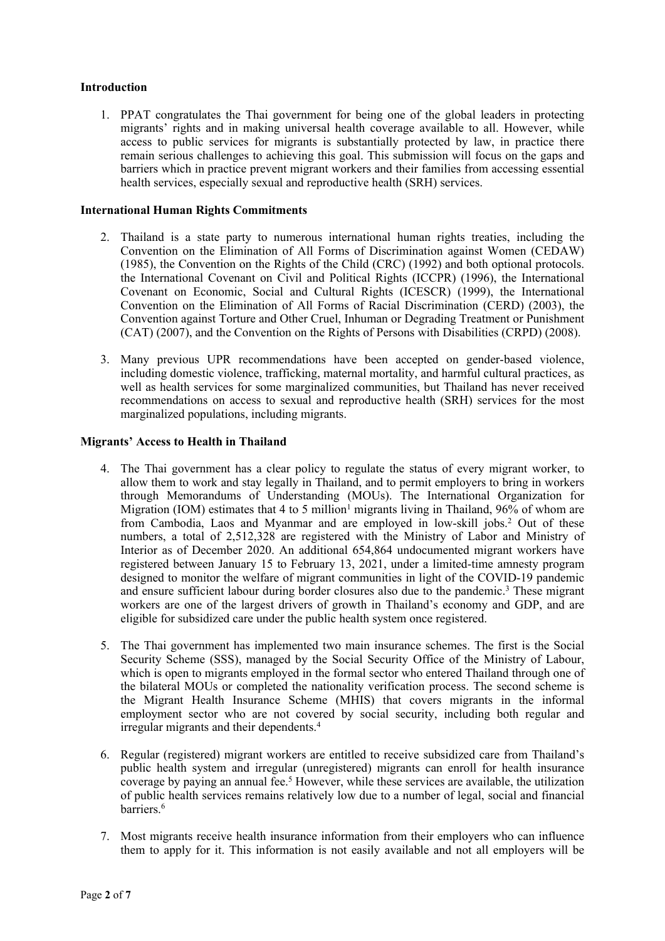# **Introduction**

1. PPAT congratulates the Thai governmen<sup>t</sup> for being one of the global leaders in protecting migrants' rights and in making universal health coverage available to all. However, while access to public services for migrants is substantially protected by law, in practice there remain serious challenges to achieving this goal. This submission will focus on the gaps and barriers which in practice preven<sup>t</sup> migrant workers and their families from accessing essential health services, especially sexual and reproductive health (SRH) services.

# **International Human Rights Commitments**

- 2. Thailand is <sup>a</sup> state party to numerous international human rights treaties, including the Convention on the Elimination of All Forms of Discrimination against Women (CEDAW) (1985), the Convention on the Rights of the Child (CRC) (1992) and both optional protocols. the International Covenant on Civil and Political Rights (ICCPR) (1996), the International Covenant on Economic, Social and Cultural Rights (ICESCR) (1999), the International Convention on the Elimination of All Forms of Racial Discrimination (CERD) (2003), the Convention against Torture and Other Cruel, Inhuman or Degrading Treatment or Punishment (CAT) (2007), and the Convention on the Rights of Persons with Disabilities (CRPD) (2008).
- 3. Many previous UPR recommendations have been accepted on gender-based violence, including domestic violence, trafficking, maternal mortality, and harmful cultural practices, as well as health services for some marginalized communities, but Thailand has never received recommendations on access to sexual and reproductive health (SRH) services for the most marginalized populations, including migrants.

### **Migrants' Access to Health in Thailand**

- 4. The Thai governmen<sup>t</sup> has <sup>a</sup> clear policy to regulate the status of every migrant worker, to allow them to work and stay legally in Thailand, and to permit employers to bring in workers through Memorandums of Understanding (MOUs). The International Organization for Migration (IOM) estimates that 4 to 5 million<sup>1</sup> migrants living in Thailand,  $96\%$  of whom are from Cambodia, Laos and Myanmar and are employed in low-skill jobs. <sup>2</sup> Out of these numbers, <sup>a</sup> total of 2,512,328 are registered with the Ministry of Labor and Ministry of Interior as of December 2020. An additional 654,864 undocumented migrant workers have registered between January 15 to February 13, 2021, under <sup>a</sup> limited-time amnesty program designed to monitor the welfare of migrant communities in light of the COVID-19 pandemic and ensure sufficient labour during border closures also due to the pandemic.<sup>3</sup> These migrant workers are one of the largest drivers of growth in Thailand'<sup>s</sup> economy and GDP, and are eligible for subsidized care under the public health system once registered.
- 5. The Thai governmen<sup>t</sup> has implemented two main insurance schemes. The first is the Social Security Scheme (SSS), managed by the Social Security Office of the Ministry of Labour, which is open to migrants employed in the formal sector who entered Thailand through one of the bilateral MOUs or completed the nationality verification process. The second scheme is the Migrant Health Insurance Scheme (MHIS) that covers migrants in the informal employment sector who are not covered by social security, including both regular and irregular migrants and their dependents. 4
- 6. Regular (registered) migrant workers are entitled to receive subsidized care from Thailand'<sup>s</sup> public health system and irregular (unregistered) migrants can enroll for health insurance coverage by paying an annual fee. <sup>5</sup> However, while these services are available, the utilization of public health services remains relatively low due to <sup>a</sup> number of legal, social and financial barriers. 6
- 7. Most migrants receive health insurance information from their employers who can influence them to apply for it. This information is not easily available and not all employers will be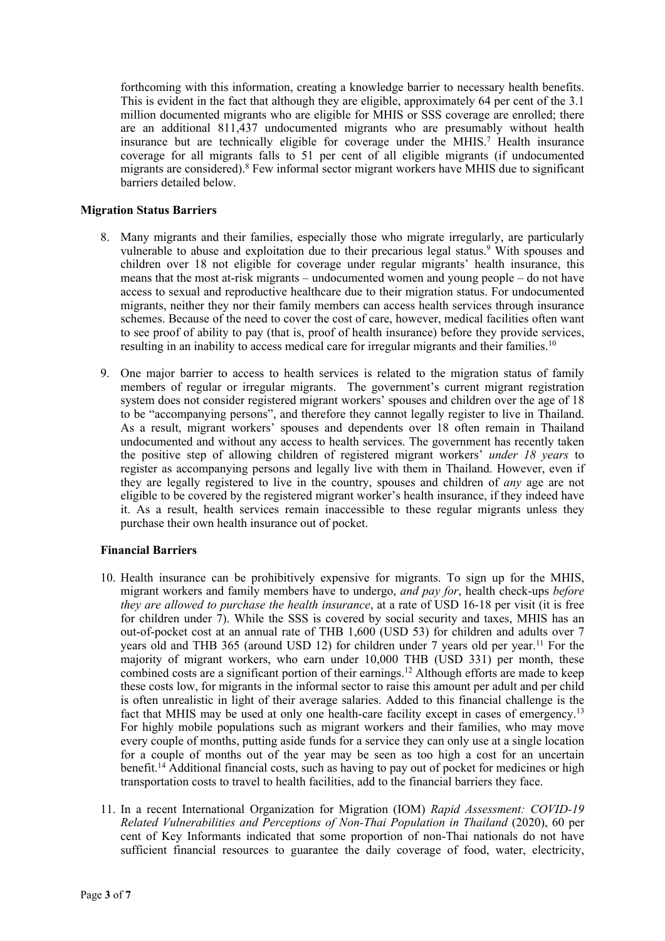forthcoming with this information, creating <sup>a</sup> knowledge barrier to necessary health benefits. This is evident in the fact that although they are eligible, approximately 64 per cent of the 3.1 million documented migrants who are eligible for MHIS or SSS coverage are enrolled; there are an additional 811,437 undocumented migrants who are presumably without health insurance but are technically eligible for coverage under the MHIS.<sup>7</sup> Health insurance coverage for all migrants falls to 51 per cent of all eligible migrants (if undocumented migrants are considered). 8 Few informal sector migrant workers have MHIS due to significant barriers detailed below.

# **Migration Status Barriers**

- 8. Many migrants and their families, especially those who migrate irregularly, are particularly vulnerable to abuse and exploitation due to their precarious legal status. <sup>9</sup> With spouses and children over 18 not eligible for coverage under regular migrants' health insurance, this means that the most at-risk migrants – undocumented women and young people – do not have access to sexual and reproductive healthcare due to their migration status. For undocumented migrants, neither they nor their family members can access health services through insurance schemes. Because of the need to cover the cost of care, however, medical facilities often want to see proof of ability to pay (that is, proof of health insurance) before they provide services, resulting in an inability to access medical care for irregular migrants and their families.<sup>10</sup>
- 9. One major barrier to access to health services is related to the migration status of family members of regular or irregular migrants. The government'<sup>s</sup> current migrant registration system does not consider registered migrant workers' spouses and children over the age of 18 to be "accompanying persons", and therefore they cannot legally register to live in Thailand. As <sup>a</sup> result, migrant workers' spouses and dependents over 18 often remain in Thailand undocumented and without any access to health services. The governmen<sup>t</sup> has recently taken the positive step of allowing children of registered migrant workers' *under 18 years* to register as accompanying persons and legally live with them in Thailand. However, even if they are legally registered to live in the country, spouses and children of *any* age are not eligible to be covered by the registered migrant worker'<sup>s</sup> health insurance, if they indeed have it. As <sup>a</sup> result, health services remain inaccessible to these regular migrants unless they purchase their own health insurance out of pocket.

# **Financial Barriers**

- 10. Health insurance can be prohibitively expensive for migrants. To sign up for the MHIS, migrant workers and family members have to undergo, *and pay for*, health check-ups *before they are allowed to purchase the health insurance*, at <sup>a</sup> rate of USD 16-18 per visit (it is free for children under 7). While the SSS is covered by social security and taxes, MHIS has an out-of-pocket cost at an annual rate of THB 1,600 (USD 53) for children and adults over 7 years old and THB 365 (around USD 12) for children under 7 years old per year.<sup>11</sup> For the majority of migrant workers, who earn under 10,000 THB (USD 331) per month, these combined costs are <sup>a</sup> significant portion of their earnings. <sup>12</sup> Although efforts are made to keep these costs low, for migrants in the informal sector to raise this amount per adult and per child is often unrealistic in light of their average salaries. Added to this financial challenge is the fact that MHIS may be used at only one health-care facility except in cases of emergency.<sup>13</sup> For highly mobile populations such as migrant workers and their families, who may move every couple of months, putting aside funds for <sup>a</sup> service they can only use at <sup>a</sup> single location for <sup>a</sup> couple of months out of the year may be seen as too high <sup>a</sup> cost for an uncertain benefit. <sup>14</sup> Additional financial costs, such as having to pay out of pocket for medicines or high transportation costs to travel to health facilities, add to the financial barriers they face.
- 11. In <sup>a</sup> recent International Organization for Migration (IOM) *Rapid Assessment: COVID-19 Related Vulnerabilities and Perceptions of Non-Thai Population in Thailand* (2020), 60 per cent of Key Informants indicated that some proportion of non-Thai nationals do not have sufficient financial resources to guarantee the daily coverage of food, water, electricity,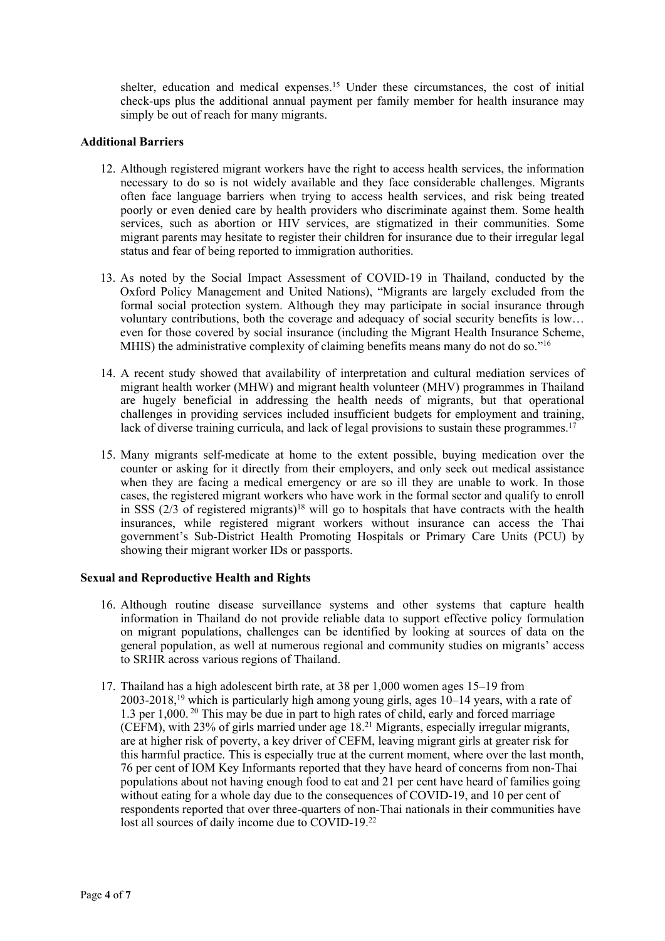shelter, education and medical expenses. <sup>15</sup> Under these circumstances, the cost of initial check-ups plus the additional annual paymen<sup>t</sup> per family member for health insurance may simply be out of reach for many migrants.

# **Additional Barriers**

- 12. Although registered migrant workers have the right to access health services, the information necessary to do so is not widely available and they face considerable challenges. Migrants often face language barriers when trying to access health services, and risk being treated poorly or even denied care by health providers who discriminate against them. Some health services, such as abortion or HIV services, are stigmatized in their communities. Some migrant parents may hesitate to register their children for insurance due to their irregular legal status and fear of being reported to immigration authorities.
- 13. As noted by the Social Impact Assessment of COVID-19 in Thailand, conducted by the Oxford Policy Management and United Nations), "Migrants are largely excluded from the formal social protection system. Although they may participate in social insurance through voluntary contributions, both the coverage and adequacy of social security benefits is low… even for those covered by social insurance (including the Migrant Health Insurance Scheme, MHIS) the administrative complexity of claiming benefits means many do not do so."<sup>16</sup>
- 14. A recent study showed that availability of interpretation and cultural mediation services of migrant health worker (MHW) and migrant health volunteer (MHV) programmes in Thailand are hugely beneficial in addressing the health needs of migrants, but that operational challenges in providing services included insufficient budgets for employment and training, lack of diverse training curricula, and lack of legal provisions to sustain these programmes.<sup>17</sup>
- 15. Many migrants self-medicate at home to the extent possible, buying medication over the counter or asking for it directly from their employers, and only seek out medical assistance when they are facing a medical emergency or are so ill they are unable to work. In those cases, the registered migrant workers who have work in the formal sector and qualify to enroll in SSS  $(2/3)$  of registered migrants)<sup>18</sup> will go to hospitals that have contracts with the health insurances, while registered migrant workers without insurance can access the Thai government'<sup>s</sup> Sub-District Health Promoting Hospitals or Primary Care Units (PCU) by showing their migrant worker IDs or passports.

# **Sexual and Reproductive Health and Rights**

- 16. Although routine disease surveillance systems and other systems that capture health information in Thailand do not provide reliable data to suppor<sup>t</sup> effective policy formulation on migrant populations, challenges can be identified by looking at sources of data on the general population, as well at numerous regional and community studies on migrants' access to SRHR across various regions of Thailand.
- 17. Thailand has <sup>a</sup> high adolescent birth rate, at 38 per 1,000 women ages 15–19 from 2003-2018, <sup>19</sup> which is particularly high among young <sup>g</sup>irls, ages 10–<sup>14</sup> years, with <sup>a</sup> rate of 1.3 per 1,000. 20 This may be due in par<sup>t</sup> to high rates of child, early and forced marriage (CEFM), with 23% of girls married under age 18. <sup>21</sup> Migrants, especially irregular migrants, are at higher risk of poverty, <sup>a</sup> key driver of CEFM, leaving migrant girls at greater risk for this harmful practice. This is especially true at the current moment, where over the last month, 76 per cent of IOM Key Informants reported that they have heard of concerns from non-Thai populations about not having enough food to eat and 21 per cent have heard of families going without eating for a whole day due to the consequences of COVID-19, and 10 per cent of respondents reported that over three-quarters of non-Thai nationals in their communities have lost all sources of daily income due to COVID-19.<sup>22</sup>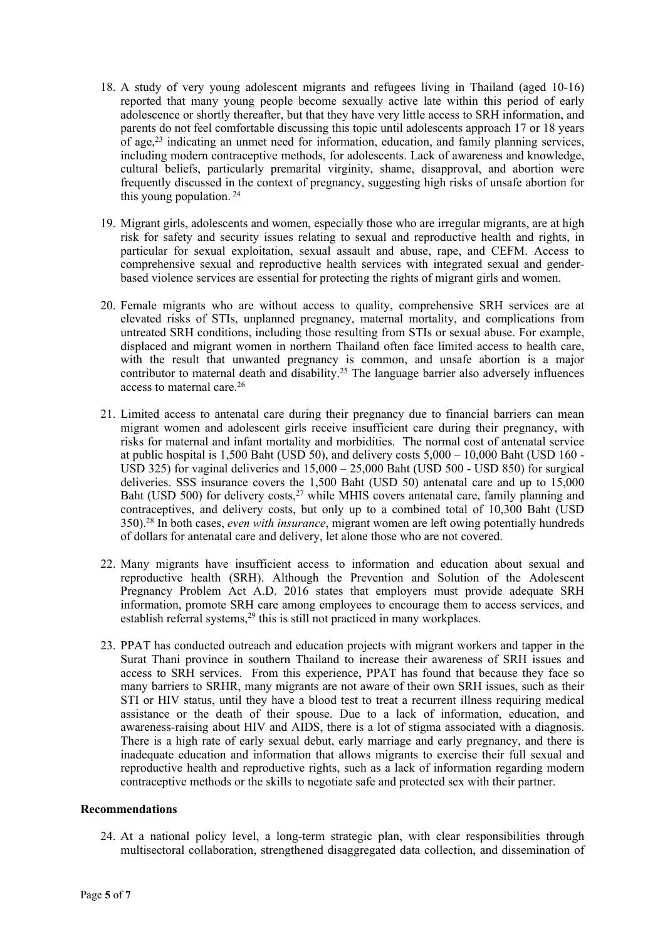- 18. A study of very young adolescent migrants and refugees living in Thailand (aged 10-16) reported that many young people become sexually active late within this period of early adolescence or shortly thereafter, but that they have very little access to SRH information, and parents do not feel comfortable discussing this topic until adolescents approach 17 or 18 years of age, 23 indicating an unmet need for information, education, and family planning services, including modern contraceptive methods, for adolescents. Lack of awareness and knowledge, cultural beliefs, particularly premarital virginity, shame, disapproval, and abortion were frequently discussed in the context of pregnancy, suggesting high risks of unsafe abortion for this young population. 24
- 19. Migrant girls, adolescents and women, especially those who are irregular migrants, are at high risk for safety and security issues relating to sexual and reproductive health and rights, in particular for sexual exploitation, sexual assault and abuse, rape, and CEFM. Access to comprehensive sexual and reproductive health services with integrated sexual and genderbased violence services are essential for protecting the rights of migrant girls and women.
- 20. Female migrants who are without access to quality, comprehensive SRH services are at elevated risks of STIs, unplanned pregnancy, maternal mortality, and complications from untreated SRH conditions, including those resulting from STIs or sexual abuse. For example, displaced and migrant women in northern Thailand often face limited access to health care, with the result that unwanted pregnancy is common, and unsafe abortion is <sup>a</sup> major contributor to maternal death and disability.<sup>25</sup> The language barrier also adversely influences access to maternal care. 26
- 21. Limited access to antenatal care during their pregnancy due to financial barriers can mean migrant women and adolescent girls receive insufficient care during their pregnancy, with risks for maternal and infant mortality and morbidities. The normal cost of antenatal service at public hospital is 1,500 Baht (USD 50), and delivery costs 5,000 – 10,000 Baht (USD 160 - USD 325) for vaginal deliveries and 15,000 – 25,000 Baht (USD 500 - USD 850) for surgical deliveries. SSS insurance covers the 1,500 Baht (USD 50) antenatal care and up to 15,000 Baht (USD 500) for delivery costs,<sup>27</sup> while MHIS covers antenatal care, family planning and contraceptives, and delivery costs, but only up to <sup>a</sup> combined total of 10,300 Baht (USD 350). 28 In both cases, *even with insurance*, migrant women are left owing potentially hundreds of dollars for antenatal care and delivery, let alone those who are not covered.
- 22. Many migrants have insufficient access to information and education about sexual and reproductive health (SRH). Although the Prevention and Solution of the Adolescent Pregnancy Problem Act A.D. 2016 states that employers must provide adequate SRH information, promote SRH care among employees to encourage them to access services, and establish referral systems,<sup>29</sup> this is still not practiced in many workplaces.
- 23. PPAT has conducted outreach and education projects with migrant workers and tapper in the Surat Thani province in southern Thailand to increase their awareness of SRH issues and access to SRH services. From this experience, PPAT has found that because they face so many barriers to SRHR, many migrants are not aware of their own SRH issues, such as their STI or HIV status, until they have <sup>a</sup> blood test to treat <sup>a</sup> recurrent illness requiring medical assistance or the death of their spouse. Due to <sup>a</sup> lack of information, education, and awareness-raising about HIV and AIDS, there is <sup>a</sup> lot of stigma associated with <sup>a</sup> diagnosis. There is <sup>a</sup> high rate of early sexual debut, early marriage and early pregnancy, and there is inadequate education and information that allows migrants to exercise their full sexual and reproductive health and reproductive rights, such as <sup>a</sup> lack of information regarding modern contraceptive methods or the skills to negotiate safe and protected sex with their partner.

#### **Recommendations**

24. At <sup>a</sup> national policy level, <sup>a</sup> long-term strategic plan, with clear responsibilities through multisectoral collaboration, strengthened disaggregated data collection, and dissemination of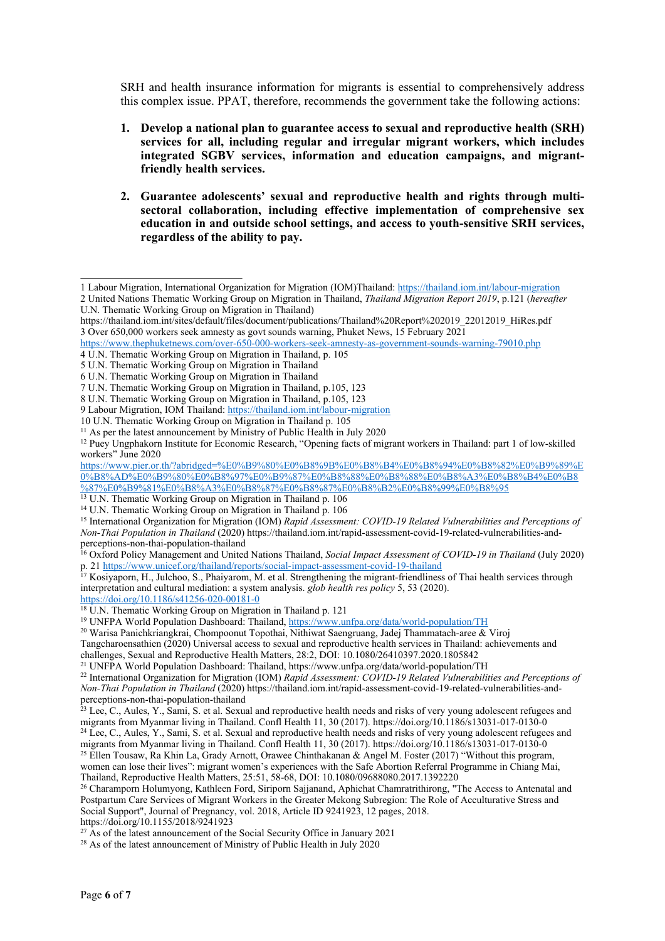SRH and health insurance information for migrants is essential to comprehensively address this complex issue. PPAT, therefore, recommends the governmen<sup>t</sup> take the following actions:

- **1. Develop <sup>a</sup> national plan to guarantee access to sexual and reproductive health (SRH) services for all, including regular and irregular migrant workers, which includes integrated SGBV services, information and education campaigns, and migrantfriendly health services.**
- **2. Guarantee adolescents' sexual and reproductive health and rights through multisectoral collaboration, including effective implementation of comprehensive sex education in and outside school settings, and access to youth-sensitive SRH services, regardless of the ability to pay.**

<https://doi.org/10.1186/s41256-020-00181-0>

women can lose their lives": migrant women'<sup>s</sup> experiences with the Safe Abortion Referral Programme in Chiang Mai, Thailand, Reproductive Health Matters, 25:51, 58-68, DOI: 10.1080/09688080.2017.1392220

<sup>26</sup> Charamporn Holumyong, Kathleen Ford, Siriporn Sajjanand, Aphichat Chamratrithirong, "The Access to Antenatal and Postpartum Care Services of Migrant Workers in the Greater Mekong Subregion: The Role of Acculturative Stress and Social Support", Journal of Pregnancy, vol. 2018, Article ID 9241923, 12 pages, 2018. https://doi.org/10.1155/2018/9241923

 $27$  As of the latest announcement of the Social Security Office in January 2021

<sup>28</sup> As of the latest announcement of Ministry of Public Health in July 2020

<sup>1</sup> Labour Migration, International Organization for Migration (IOM)Thailand: <https://thailand.iom.int/labour-migration>

<sup>2</sup> United Nations Thematic Working Group on Migration in Thailand, *Thailand Migration Report 2019*, p.121 (*hereafter* U.N. Thematic Working Group on Migration in Thailand)

https://thailand.iom.int/sites/default/files/document/publications/Thailand%20Report%202019\_22012019\_HiRes.pdf 3 Over 650,000 workers seek amnesty as gov<sup>t</sup> sounds warning, Phuket News, 15 February 2021

<https://www.thephuketnews.com/over-650-000-workers-seek-amnesty-as-government-sounds-warning-79010.php> 4 U.N. Thematic Working Group on Migration in Thailand, p. 105

<sup>5</sup> U.N. Thematic Working Group on Migration in Thailand

<sup>6</sup> U.N. Thematic Working Group on Migration in Thailand

<sup>7</sup> U.N. Thematic Working Group on Migration in Thailand, p.105, 123

<sup>8</sup> U.N. Thematic Working Group on Migration in Thailand, p.105, 123

<sup>9</sup> Labour Migration, IOM Thailand: <https://thailand.iom.int/labour-migration>

<sup>10</sup> U.N. Thematic Working Group on Migration in Thailand p. 105

<sup>&</sup>lt;sup>11</sup> As per the latest announcement by Ministry of Public Health in July 2020

<sup>&</sup>lt;sup>12</sup> Puey Ungphakorn Institute for Economic Research, "Opening facts of migrant workers in Thailand: part 1 of low-skilled workers" June 2020

[https://www.pier.or.th/?abridged=%E0%B9%80%E0%B8%9B%E0%B8%B4%E0%B8%94%E0%B8%82%E0%B9%89%E](https://www.pier.or.th/?abridged=%E0%B9%80%E0%B8%9B%E0%B8%B4%E0%B8%94%E0%B8%82%E0%B9%89%E0%B8%AD%E0%B9%80%E0%B8%97%E0%B9%87%E0%B8%88%E0%B8%88%E0%B8%A3%E0%B8%B4%E0%B8%87%E0%B9%81%E0%B8%A3%E0%B8%87%E0%B8%87%E0%B8%B2%E0%B8%99%E0%B8%95) [0%B8%AD%E0%B9%80%E0%B8%97%E0%B9%87%E0%B8%88%E0%B8%88%E0%B8%A3%E0%B8%B4%E0%B8](https://www.pier.or.th/?abridged=%E0%B9%80%E0%B8%9B%E0%B8%B4%E0%B8%94%E0%B8%82%E0%B9%89%E0%B8%AD%E0%B9%80%E0%B8%97%E0%B9%87%E0%B8%88%E0%B8%88%E0%B8%A3%E0%B8%B4%E0%B8%87%E0%B9%81%E0%B8%A3%E0%B8%87%E0%B8%87%E0%B8%B2%E0%B8%99%E0%B8%95) [%87%E0%B9%81%E0%B8%A3%E0%B8%87%E0%B8%87%E0%B8%B2%E0%B8%99%E0%B8%95](https://www.pier.or.th/?abridged=%E0%B9%80%E0%B8%9B%E0%B8%B4%E0%B8%94%E0%B8%82%E0%B9%89%E0%B8%AD%E0%B9%80%E0%B8%97%E0%B9%87%E0%B8%88%E0%B8%88%E0%B8%A3%E0%B8%B4%E0%B8%87%E0%B9%81%E0%B8%A3%E0%B8%87%E0%B8%87%E0%B8%B2%E0%B8%99%E0%B8%95)

<sup>&</sup>lt;sup>13</sup> U.N. Thematic Working Group on Migration in Thailand p. 106

<sup>14</sup> U.N. Thematic Working Group on Migration in Thailand p. 106

<sup>15</sup> International Organization for Migration (IOM) *Rapid Assessment: COVID-19 Related Vulnerabilities and Perceptions of Non-Thai Population in Thailand* (2020) https://thailand.iom.int/rapid-assessment-covid-19-related-vulnerabilities-andperceptions-non-thai-population-thailand

<sup>16</sup> Oxford Policy Management and United Nations Thailand, *Social Impact Assessment of COVID-19 in Thailand* (July 2020) p. 21 <https://www.unicef.org/thailand/reports/social-impact-assessment-covid-19-thailand>

 $17$  Kosiyaporn, H., Julchoo, S., Phaiyarom, M. et al. Strengthening the migrant-friendliness of Thai health services through interpretation and cultural mediation: <sup>a</sup> system analysis. *glob health res policy* 5, 53 (2020).

<sup>18</sup> U.N. Thematic Working Group on Migration in Thailand p. <sup>121</sup>

<sup>19</sup> UNFPA World Population Dashboard: Thailand, <https://www.unfpa.org/data/world-population/TH>

<sup>20</sup> Warisa Panichkriangkrai, Chompoonut Topothai, Nithiwat Saengruang, Jadej Thammatach-aree & Viroj

Tangcharoensathien (2020) Universal access to sexual and reproductive health services in Thailand: achievements and challenges, Sexual and Reproductive Health Matters, 28:2, DOI: 10.1080/26410397.2020.1805842

<sup>21</sup> UNFPA World Population Dashboard: Thailand, https://www.unfpa.org/data/world-population/TH

<sup>22</sup> International Organization for Migration (IOM) *Rapid Assessment: COVID-19 Related Vulnerabilities and Perceptions of Non-Thai Population in Thailand* (2020) https://thailand.iom.int/rapid-assessment-covid-19-related-vulnerabilities-and-

perceptions-non-thai-population-thailand<br><sup>23</sup> Lee, C., Aules, Y., Sami, S. et al. Sexual and reproductive health needs and risks of very young adolescent refugees and migrants from Myanmar living in Thailand. Confl Health 11, 30 (2017). https://doi.org/10.1186/s13031-017-0130-0<br><sup>24</sup> Lee, C., Aules, Y., Sami, S. et al. Sexual and reproductive health needs and risks of very young adolesce

migrants from Myanmar living in Thailand. Confl Health 11, 30 (2017). https://doi.org/10.1186/s13031-017-0130-0 <sup>25</sup> Ellen Tousaw, Ra Khin La, Grady Arnott, Orawee Chinthakanan & Angel M. Foster (2017) "Without this program,